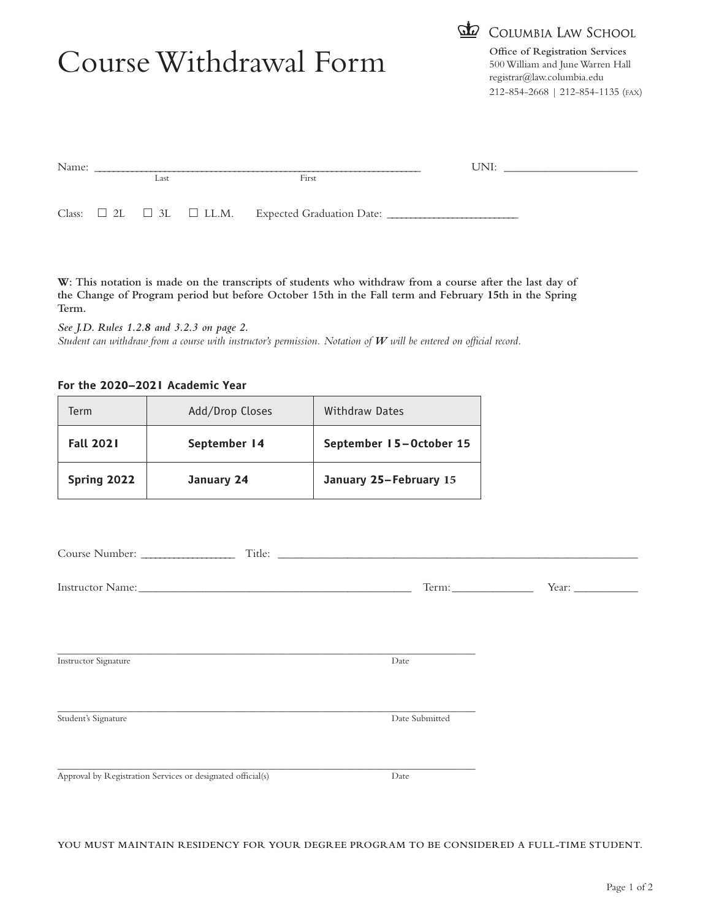# Course Withdrawal Form **Office of Registration Services**



500 William and June Warren Hall registrar@law.columbia.edu 212-854-2668 | 212-854-1135 (FAX)

| Name: |  |      |  | UNI:                                                                       |  |  |
|-------|--|------|--|----------------------------------------------------------------------------|--|--|
|       |  | Last |  | First                                                                      |  |  |
|       |  |      |  | Class: $\square$ 2L $\square$ 3L $\square$ LL.M. Expected Graduation Date: |  |  |

**W: This notation is made on the transcripts of students who withdraw from a course after the last day of the Change of Program period but before October 15th in the Fall term and February 15th in the Spring Term.**

*See J.D. Rules 1.2.8 and 3.2.3 on page 2. Student can withdraw from a course with instructor's permission. Notation of W will be entered on official record.*

## **For the 2020–2021 Academic Year**

| Term             | Add/Drop Closes | Withdraw Dates          |
|------------------|-----------------|-------------------------|
| <b>Fall 2021</b> | September 14    | September 15-October 15 |
| Spring 2022      | January 24      | January 25-February 15  |

|                                                             | Term:          | Year: $\_\_$ |
|-------------------------------------------------------------|----------------|--------------|
| Instructor Signature                                        | Date           |              |
| Student's Signature                                         | Date Submitted |              |
|                                                             |                |              |
| Approval by Registration Services or designated official(s) | Date           |              |

**YOU MUST MAINTAIN RESIDENCY FOR YOUR DEGREE PROGRAM TO BE CONSIDERED A FULL-TIME STUDENT.**